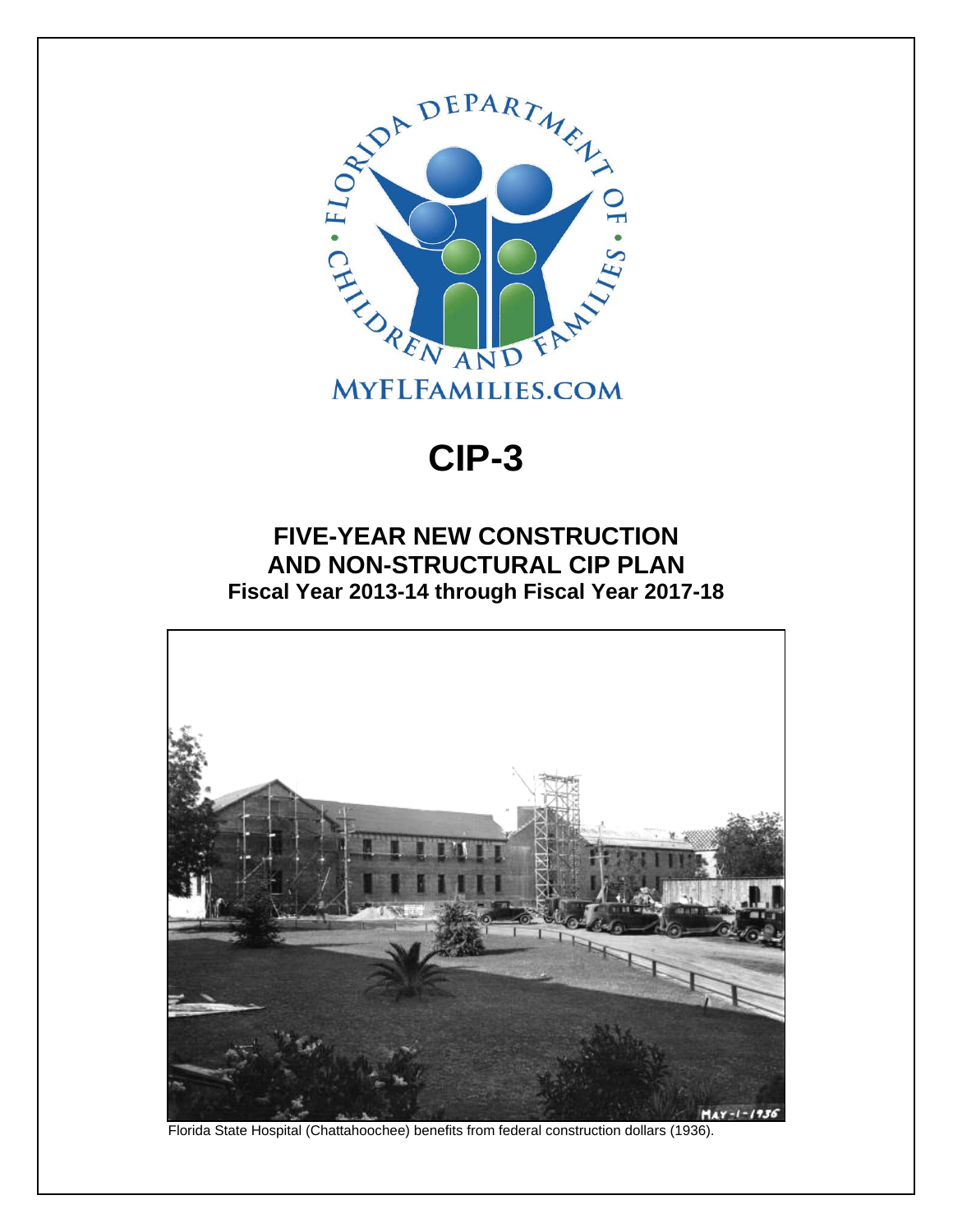

#### **CIP-3**

#### **FIVE-YEAR NEW CONSTRUCTION AND NON-STRUCTURAL CIP PLAN Fiscal Year 2013-14 through Fiscal Year 2017-18**



Florida State Hospital (Chattahoochee) benefits from federal construction dollars (1936).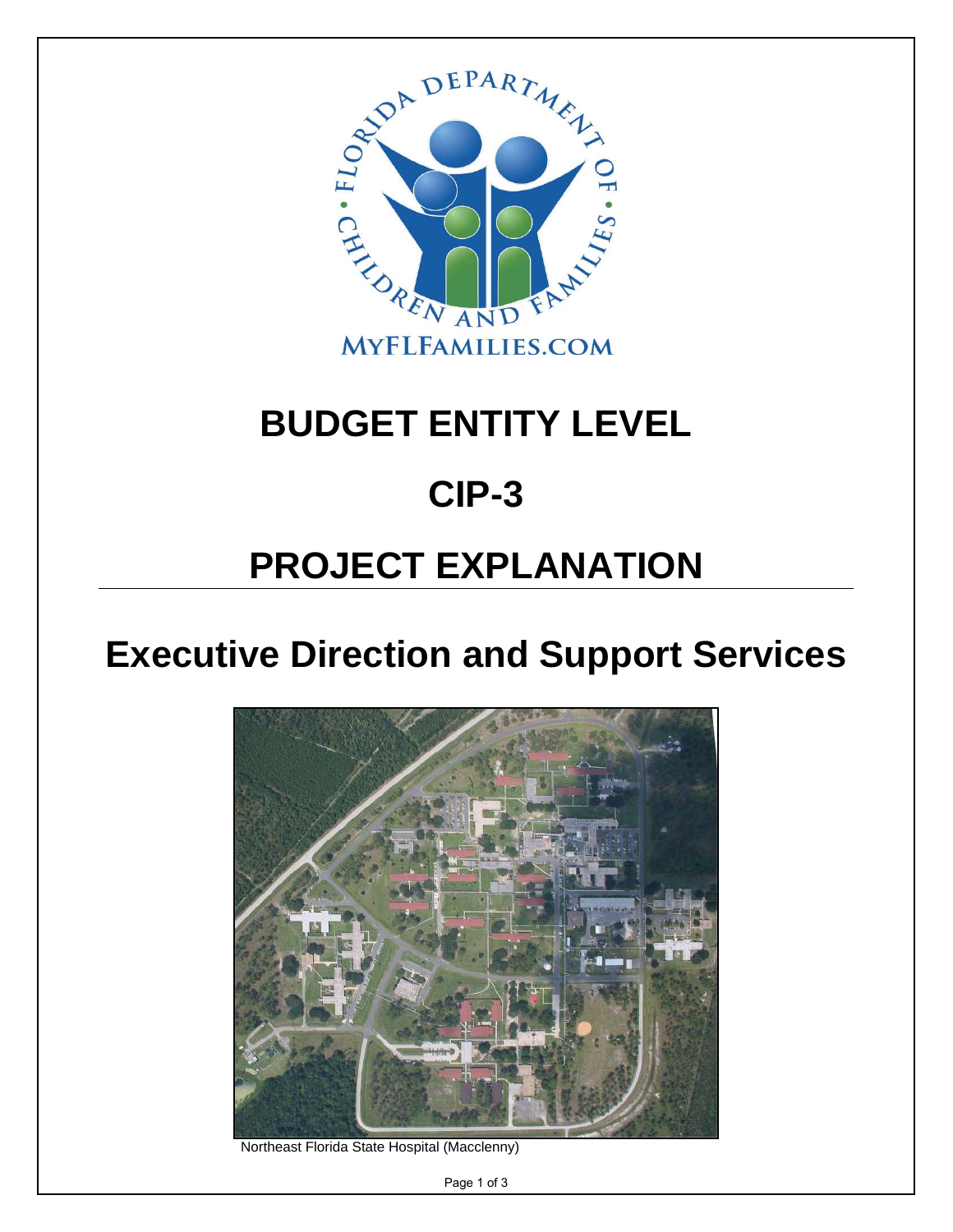

## **BUDGET ENTITY LEVEL**

### **CIP-3**

# **PROJECT EXPLANATION**

### **Executive Direction and Support Services**



Northeast Florida State Hospital (Macclenny)

Page 1 of 3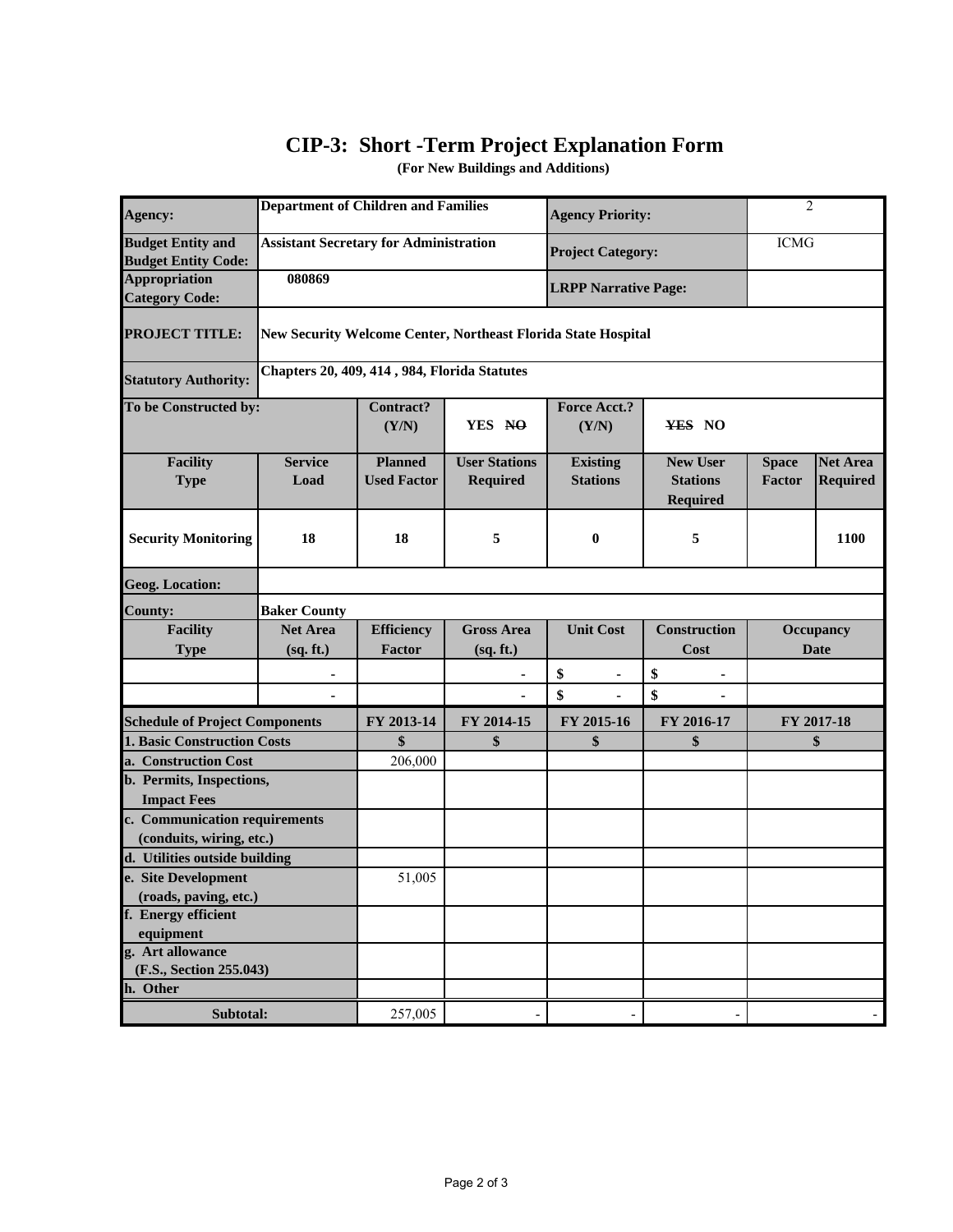#### **CIP-3: Short -Term Project Explanation Form**

**(For New Buildings and Additions)**

| <b>Agency:</b>                                         | <b>Department of Children and Families</b>    |                                                               |                                  | <b>Agency Priority:</b>            |                                                       | $\overline{2}$         |                                    |  |  |  |  |
|--------------------------------------------------------|-----------------------------------------------|---------------------------------------------------------------|----------------------------------|------------------------------------|-------------------------------------------------------|------------------------|------------------------------------|--|--|--|--|
| <b>Budget Entity and</b><br><b>Budget Entity Code:</b> | <b>Assistant Secretary for Administration</b> |                                                               |                                  | <b>Project Category:</b>           |                                                       | <b>ICMG</b>            |                                    |  |  |  |  |
| <b>Appropriation</b><br><b>Category Code:</b>          | 080869                                        |                                                               |                                  | <b>LRPP Narrative Page:</b>        |                                                       |                        |                                    |  |  |  |  |
| <b>PROJECT TITLE:</b>                                  |                                               | New Security Welcome Center, Northeast Florida State Hospital |                                  |                                    |                                                       |                        |                                    |  |  |  |  |
| <b>Statutory Authority:</b>                            |                                               | Chapters 20, 409, 414, 984, Florida Statutes                  |                                  |                                    |                                                       |                        |                                    |  |  |  |  |
| To be Constructed by:                                  |                                               | <b>Contract?</b><br>(Y/N)                                     | YES NO                           | <b>Force Acct.?</b><br>(Y/N)       | YES NO                                                |                        |                                    |  |  |  |  |
| <b>Facility</b><br><b>Type</b>                         | <b>Service</b><br>Load                        | <b>Planned</b><br><b>Used Factor</b>                          | <b>User Stations</b><br>Required | <b>Existing</b><br><b>Stations</b> | <b>New User</b><br><b>Stations</b><br><b>Required</b> | <b>Space</b><br>Factor | <b>Net Area</b><br><b>Required</b> |  |  |  |  |
| <b>Security Monitoring</b>                             | 18                                            | 18                                                            | 5                                | $\bf{0}$                           | 5                                                     |                        | 1100                               |  |  |  |  |
| <b>Geog. Location:</b>                                 |                                               |                                                               |                                  |                                    |                                                       |                        |                                    |  |  |  |  |
| <b>County:</b>                                         | <b>Baker County</b>                           |                                                               |                                  |                                    |                                                       |                        |                                    |  |  |  |  |
| <b>Facility</b><br><b>Type</b>                         | <b>Net Area</b><br>(sq. ft.)                  | <b>Efficiency</b><br>Factor                                   | <b>Gross Area</b><br>(sq. ft.)   | <b>Unit Cost</b>                   | <b>Construction</b><br>Cost                           |                        | <b>Occupancy</b><br><b>Date</b>    |  |  |  |  |
|                                                        |                                               |                                                               |                                  | \$<br>$\blacksquare$               | \$                                                    |                        |                                    |  |  |  |  |
|                                                        |                                               |                                                               |                                  | \$                                 | \$                                                    |                        |                                    |  |  |  |  |
| <b>Schedule of Project Components</b>                  |                                               | FY 2013-14                                                    | FY 2014-15                       | FY 2015-16                         | FY 2016-17                                            | FY 2017-18             |                                    |  |  |  |  |
| 1. Basic Construction Costs                            |                                               | $\boldsymbol{\hat{\mathbf{s}}}$                               | \$                               | \$                                 | \$                                                    | \$                     |                                    |  |  |  |  |
| a. Construction Cost                                   |                                               | 206,000                                                       |                                  |                                    |                                                       |                        |                                    |  |  |  |  |
| b. Permits, Inspections,                               |                                               |                                                               |                                  |                                    |                                                       |                        |                                    |  |  |  |  |
| <b>Impact Fees</b>                                     |                                               |                                                               |                                  |                                    |                                                       |                        |                                    |  |  |  |  |
| c. Communication requirements                          |                                               |                                                               |                                  |                                    |                                                       |                        |                                    |  |  |  |  |
| (conduits, wiring, etc.)                               |                                               |                                                               |                                  |                                    |                                                       |                        |                                    |  |  |  |  |
| d. Utilities outside building<br>e. Site Development   |                                               | 51,005                                                        |                                  |                                    |                                                       |                        |                                    |  |  |  |  |
| (roads, paving, etc.)                                  |                                               |                                                               |                                  |                                    |                                                       |                        |                                    |  |  |  |  |
| f. Energy efficient                                    |                                               |                                                               |                                  |                                    |                                                       |                        |                                    |  |  |  |  |
| equipment                                              |                                               |                                                               |                                  |                                    |                                                       |                        |                                    |  |  |  |  |
| g. Art allowance                                       |                                               |                                                               |                                  |                                    |                                                       |                        |                                    |  |  |  |  |
| (F.S., Section 255.043)                                |                                               |                                                               |                                  |                                    |                                                       |                        |                                    |  |  |  |  |
| h. Other                                               |                                               | 257,005                                                       |                                  |                                    |                                                       |                        |                                    |  |  |  |  |
| Subtotal:                                              |                                               |                                                               |                                  |                                    |                                                       |                        |                                    |  |  |  |  |